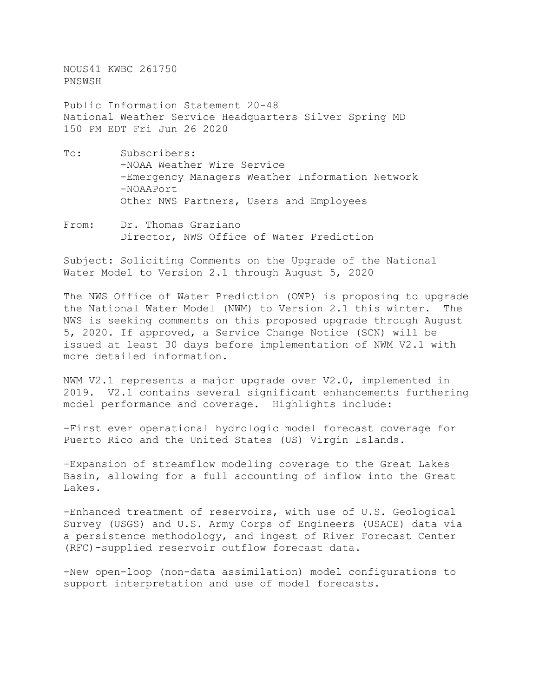NOUS41 KWBC 261750 PNSWSH

Public Information Statement 20-48 National Weather Service Headquarters Silver Spring MD 150 PM EDT Fri Jun 26 2020

- To: Subscribers: -NOAA Weather Wire Service -Emergency Managers Weather Information Network -NOAAPort Other NWS Partners, Users and Employees
- From: Dr. Thomas Graziano Director, NWS Office of Water Prediction

Subject: Soliciting Comments on the Upgrade of the National Water Model to Version 2.1 through August 5, 2020

The NWS Office of Water Prediction (OWP) is proposing to upgrade the National Water Model (NWM) to Version 2.1 this winter. The NWS is seeking comments on this proposed upgrade through August 5, 2020. If approved, a Service Change Notice (SCN) will be issued at least 30 days before implementation of NWM V2.1 with more detailed information.

NWM V2.1 represents a major upgrade over V2.0, implemented in 2019. V2.1 contains several significant enhancements furthering model performance and coverage. Highlights include:

-First ever operational hydrologic model forecast coverage for Puerto Rico and the United States (US) Virgin Islands.

-Expansion of streamflow modeling coverage to the Great Lakes Basin, allowing for a full accounting of inflow into the Great Lakes.

-Enhanced treatment of reservoirs, with use of U.S. Geological Survey (USGS) and U.S. Army Corps of Engineers (USACE) data via a persistence methodology, and ingest of River Forecast Center (RFC)-supplied reservoir outflow forecast data.

-New open-loop (non-data assimilation) model configurations to support interpretation and use of model forecasts.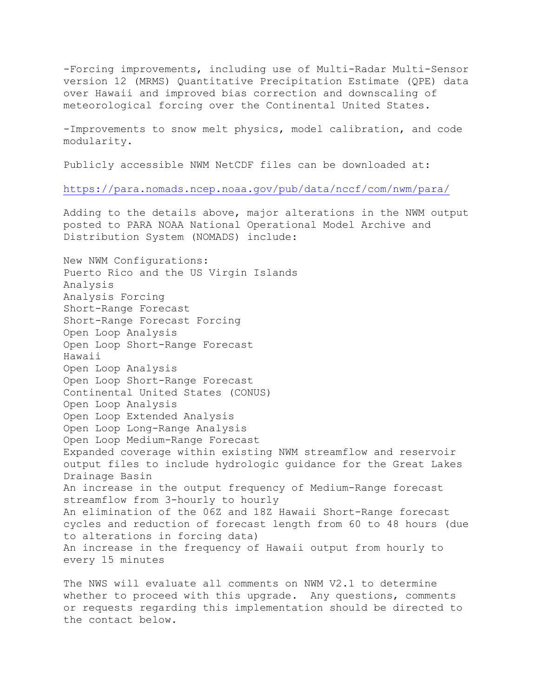-Forcing improvements, including use of Multi-Radar Multi-Sensor version 12 (MRMS) Quantitative Precipitation Estimate (QPE) data over Hawaii and improved bias correction and downscaling of meteorological forcing over the Continental United States.

-Improvements to snow melt physics, model calibration, and code modularity.

Publicly accessible NWM NetCDF files can be downloaded at:

<https://para.nomads.ncep.noaa.gov/pub/data/nccf/com/nwm/para/>

Adding to the details above, major alterations in the NWM output posted to PARA NOAA National Operational Model Archive and Distribution System (NOMADS) include:

New NWM Configurations: Puerto Rico and the US Virgin Islands Analysis Analysis Forcing Short-Range Forecast Short-Range Forecast Forcing Open Loop Analysis Open Loop Short-Range Forecast Hawaii Open Loop Analysis Open Loop Short-Range Forecast Continental United States (CONUS) Open Loop Analysis Open Loop Extended Analysis Open Loop Long-Range Analysis Open Loop Medium-Range Forecast Expanded coverage within existing NWM streamflow and reservoir output files to include hydrologic guidance for the Great Lakes Drainage Basin An increase in the output frequency of Medium-Range forecast streamflow from 3-hourly to hourly An elimination of the 06Z and 18Z Hawaii Short-Range forecast cycles and reduction of forecast length from 60 to 48 hours (due to alterations in forcing data) An increase in the frequency of Hawaii output from hourly to every 15 minutes

The NWS will evaluate all comments on NWM V2.1 to determine whether to proceed with this upgrade. Any questions, comments or requests regarding this implementation should be directed to the contact below.